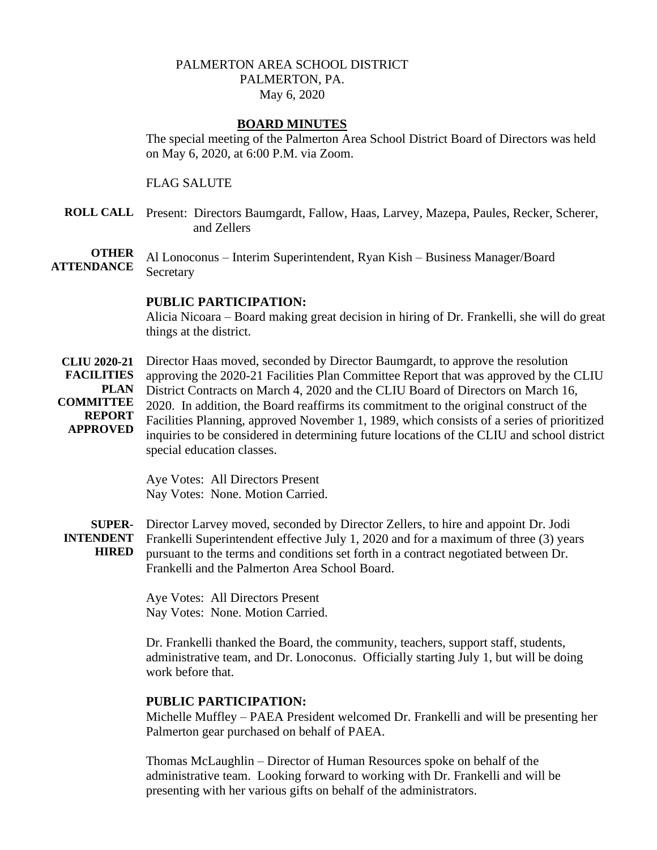# PALMERTON AREA SCHOOL DISTRICT PALMERTON, PA. May 6, 2020

#### **BOARD MINUTES**

The special meeting of the Palmerton Area School District Board of Directors was held on May 6, 2020, at 6:00 P.M. via Zoom.

FLAG SALUTE

**ROLL CALL** Present: Directors Baumgardt, Fallow, Haas, Larvey, Mazepa, Paules, Recker, Scherer, and Zellers

**OTHER ATTENDANCE** Al Lonoconus – Interim Superintendent, Ryan Kish – Business Manager/Board **Secretary** 

### **PUBLIC PARTICIPATION:**

Alicia Nicoara – Board making great decision in hiring of Dr. Frankelli, she will do great things at the district.

**CLIU 2020-21 FACILITIES PLAN COMMITTEE REPORT APPROVED** Director Haas moved, seconded by Director Baumgardt, to approve the resolution approving the 2020-21 Facilities Plan Committee Report that was approved by the CLIU District Contracts on March 4, 2020 and the CLIU Board of Directors on March 16, 2020. In addition, the Board reaffirms its commitment to the original construct of the Facilities Planning, approved November 1, 1989, which consists of a series of prioritized inquiries to be considered in determining future locations of the CLIU and school district special education classes.

> Aye Votes: All Directors Present Nay Votes: None. Motion Carried.

**SUPER-INTENDENT HIRED**  Director Larvey moved, seconded by Director Zellers, to hire and appoint Dr. Jodi Frankelli Superintendent effective July 1, 2020 and for a maximum of three (3) years pursuant to the terms and conditions set forth in a contract negotiated between Dr. Frankelli and the Palmerton Area School Board.

> Aye Votes: All Directors Present Nay Votes: None. Motion Carried.

Dr. Frankelli thanked the Board, the community, teachers, support staff, students, administrative team, and Dr. Lonoconus. Officially starting July 1, but will be doing work before that.

#### **PUBLIC PARTICIPATION:**

Michelle Muffley – PAEA President welcomed Dr. Frankelli and will be presenting her Palmerton gear purchased on behalf of PAEA.

Thomas McLaughlin – Director of Human Resources spoke on behalf of the administrative team. Looking forward to working with Dr. Frankelli and will be presenting with her various gifts on behalf of the administrators.